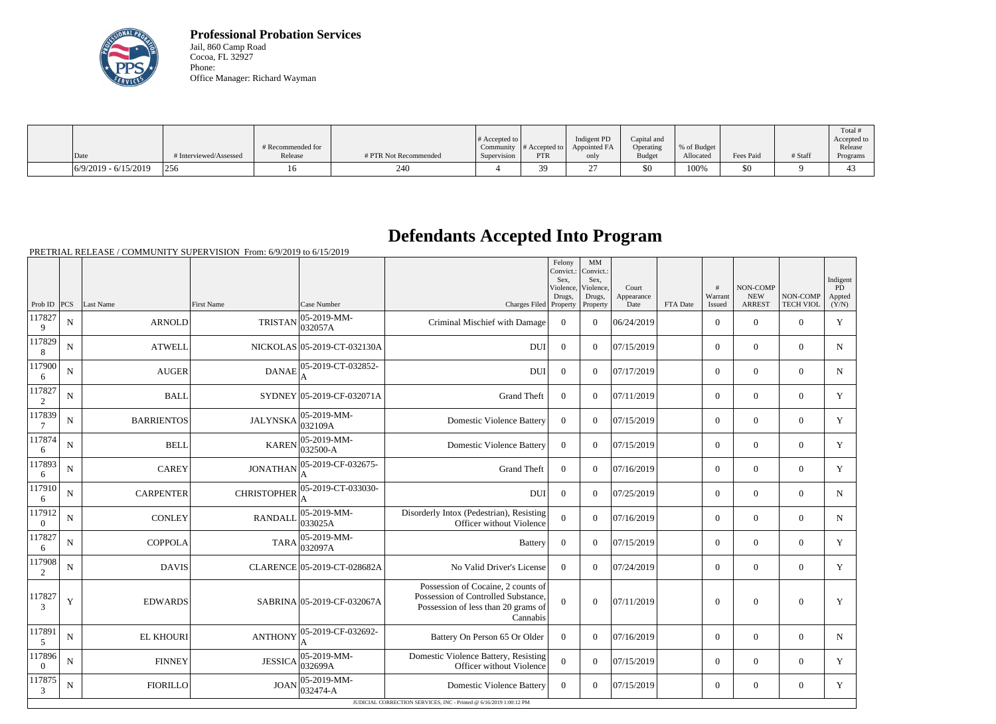

**Professional Probation Services** Jail, 860 Camp Road Cocoa, FL 32927 Phone: Office Manager: Richard Wayman

|                        |                        |                   |                       |                       |               |              |               |             |           |         | Total #          |
|------------------------|------------------------|-------------------|-----------------------|-----------------------|---------------|--------------|---------------|-------------|-----------|---------|------------------|
|                        |                        |                   |                       | # Accepted to $\vert$ |               | Indigent PD  | Capital and   |             |           |         | Accepted to      |
|                        |                        | # Recommended for |                       | Community             | # Accepted to | Appointed FA | Operating     | % of Budget |           |         | Release          |
| Date                   | # Interviewed/Assessed | Release           | # PTR Not Recommended | Supervision           | <b>PTR</b>    | only         | <b>Budget</b> | Allocated   | Fees Paid | # Staff | Programs         |
| $6/9/2019 - 6/15/2019$ | 256                    |                   | 240                   |                       | 30<br>J .     |              | \$0           | 100%        | \$0       |         | $\Lambda$<br>-45 |

## **Defendants Accepted Into Program**

PRETRIAL RELEASE / COMMUNITY SUPERVISION From: 6/9/2019 to 6/15/2019

|                           |             |                   |                    |                             |                                                                                                                              | Felony<br>Convict.:<br>Sex,<br>Violence,<br>Drugs. | MM<br>Convict.:<br>Sex,<br>Violence.<br>Drugs, | Court<br>Appearance |          | #<br>Warrant     | NON-COMP<br><b>NEW</b> | NON-COMP         | Indigent<br>PD<br>Appted |
|---------------------------|-------------|-------------------|--------------------|-----------------------------|------------------------------------------------------------------------------------------------------------------------------|----------------------------------------------------|------------------------------------------------|---------------------|----------|------------------|------------------------|------------------|--------------------------|
| Prob ID                   | PCS         | Last Name         | <b>First Name</b>  | Case Number                 | Charges Filed Property                                                                                                       |                                                    | Property                                       | Date                | FTA Date | Issued           | <b>ARREST</b>          | <b>TECH VIOL</b> | (Y/N)                    |
| 117827<br>9               | ${\bf N}$   | <b>ARNOLD</b>     | <b>TRISTAN</b>     | 05-2019-MM-<br>032057A      | Criminal Mischief with Damage                                                                                                | $\Omega$                                           | $\Omega$                                       | 06/24/2019          |          | $\overline{0}$   | $\overline{0}$         | $\overline{0}$   | Y                        |
| 117829<br>8               | $\mathbf N$ | <b>ATWELL</b>     |                    | NICKOLAS 05-2019-CT-032130A | <b>DUI</b>                                                                                                                   | $\overline{0}$                                     | $\theta$                                       | 07/15/2019          |          | $\overline{0}$   | $\overline{0}$         | $\overline{0}$   | $\mathbf N$              |
| 117900<br>6               | ${\bf N}$   | <b>AUGER</b>      | <b>DANAE</b>       | 05-2019-CT-032852-          | <b>DUI</b>                                                                                                                   | $\theta$                                           | $\Omega$                                       | 07/17/2019          |          | $\overline{0}$   | $\theta$               | $\overline{0}$   | $\mathbf N$              |
| 117827<br>2               | $\mathbf N$ | <b>BALL</b>       |                    | SYDNEY 05-2019-CF-032071A   | <b>Grand Theft</b>                                                                                                           | $\overline{0}$                                     | $\theta$                                       | 07/11/2019          |          | $\overline{0}$   | $\overline{0}$         | $\overline{0}$   | $\mathbf Y$              |
| 117839<br>$7\phantom{.0}$ | ${\bf N}$   | <b>BARRIENTOS</b> | <b>JALYNSKA</b>    | 05-2019-MM-<br>032109A      | <b>Domestic Violence Battery</b>                                                                                             | $\overline{0}$                                     | $\Omega$                                       | 07/15/2019          |          | $\Omega$         | $\Omega$               | $\overline{0}$   | Y                        |
| 117874<br>6               | $\mathbf N$ | <b>BELL</b>       | <b>KAREN</b>       | 05-2019-MM-<br>032500-A     | <b>Domestic Violence Battery</b>                                                                                             | $\overline{0}$                                     | $\Omega$                                       | 07/15/2019          |          | $\overline{0}$   | $\theta$               | $\overline{0}$   | Y                        |
| 117893<br>6               | $\mathbf N$ | <b>CAREY</b>      | <b>JONATHAN</b>    | 05-2019-CF-032675-          | <b>Grand Theft</b>                                                                                                           | $\theta$                                           | $\Omega$                                       | 07/16/2019          |          | $\Omega$         | $\theta$               | $\theta$         | Y                        |
| 117910<br>6               | $\mathbf N$ | <b>CARPENTER</b>  | <b>CHRISTOPHER</b> | 05-2019-CT-033030-          | <b>DUI</b>                                                                                                                   | $\overline{0}$                                     | $\theta$                                       | 07/25/2019          |          | $\overline{0}$   | $\theta$               | $\overline{0}$   | N                        |
| 117912<br>$\overline{0}$  | ${\bf N}$   | <b>CONLEY</b>     | <b>RANDALL</b>     | 05-2019-MM-<br>033025A      | Disorderly Intox (Pedestrian), Resisting<br>Officer without Violence                                                         | $\Omega$                                           | $\Omega$                                       | 07/16/2019          |          | $\Omega$         | $\theta$               | $\theta$         | $N_{\rm}$                |
| 117827<br>6               | ${\bf N}$   | <b>COPPOLA</b>    | <b>TARA</b>        | 05-2019-MM-<br>032097A      | <b>Battery</b>                                                                                                               | $\overline{0}$                                     | $\Omega$                                       | 07/15/2019          |          | $\overline{0}$   | $\overline{0}$         | $\overline{0}$   | Y                        |
| 117908<br>2               | $\mathbf N$ | <b>DAVIS</b>      |                    | CLARENCE 05-2019-CT-028682A | No Valid Driver's License                                                                                                    | $\Omega$                                           | $\Omega$                                       | 07/24/2019          |          | $\overline{0}$   | $\overline{0}$         | $\overline{0}$   | Y                        |
| 117827<br>3               | Y           | <b>EDWARDS</b>    |                    | SABRINA 05-2019-CF-032067A  | Possession of Cocaine, 2 counts of<br>Possession of Controlled Substance,<br>Possession of less than 20 grams of<br>Cannabis | $\mathbf{0}$                                       | $\overline{0}$                                 | 07/11/2019          |          | $\boldsymbol{0}$ | $\overline{0}$         | $\overline{0}$   | Y                        |
| 117891<br>5               | ${\bf N}$   | <b>EL KHOURI</b>  | <b>ANTHONY</b>     | 05-2019-CF-032692-<br>A     | Battery On Person 65 Or Older                                                                                                | $\overline{0}$                                     | $\overline{0}$                                 | 07/16/2019          |          | $\Omega$         | $\overline{0}$         | $\overline{0}$   | $N_{\rm}$                |
| 117896<br>$\overline{0}$  | $\mathbf N$ | <b>FINNEY</b>     | <b>JESSICA</b>     | 05-2019-MM-<br>032699A      | Domestic Violence Battery, Resisting<br>Officer without Violence                                                             | $\Omega$                                           | $\Omega$                                       | 07/15/2019          |          | $\Omega$         | $\theta$               | $\overline{0}$   | Y                        |
| 117875<br>3               | $\mathbf N$ | <b>FIORILLO</b>   | <b>JOAN</b>        | 05-2019-MM-<br>032474-A     | <b>Domestic Violence Battery</b>                                                                                             | $\overline{0}$                                     | $\theta$                                       | 07/15/2019          |          | $\overline{0}$   | $\overline{0}$         | $\overline{0}$   | Y                        |
|                           |             |                   |                    |                             | JUDICIAL CORRECTION SERVICES, INC - Printed @ 6/16/2019 1:00:12 PM                                                           |                                                    |                                                |                     |          |                  |                        |                  |                          |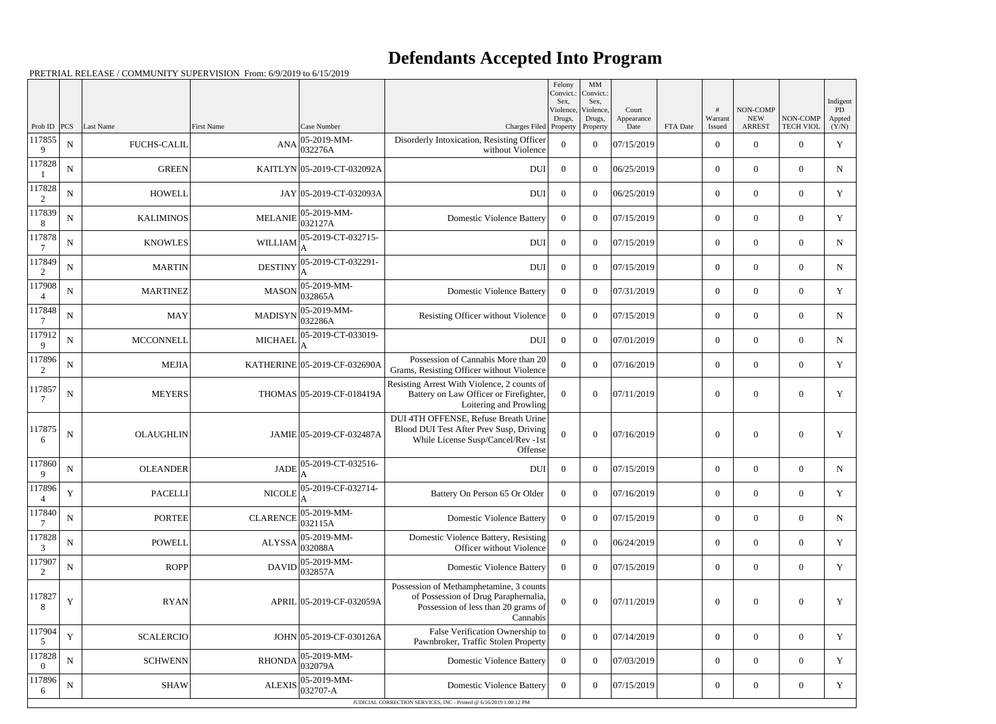## **Defendants Accepted Into Program**

PRETRIAL RELEASE / COMMUNITY SUPERVISION From: 6/9/2019 to 6/15/2019

|                          |             |                    |                   |                              |                                                                                                                                    | Felony<br>Convict.:<br>Sex.<br>Violence, | MM<br>Convict.:<br>Sex,<br>Violence, | Court              |          |                   | <b>NON-COMP</b>             |                              | Indigent<br>PD  |
|--------------------------|-------------|--------------------|-------------------|------------------------------|------------------------------------------------------------------------------------------------------------------------------------|------------------------------------------|--------------------------------------|--------------------|----------|-------------------|-----------------------------|------------------------------|-----------------|
| Prob ID $ PCS $          |             | Last Name          | <b>First Name</b> | Case Number                  | Charges Filed Property                                                                                                             | Drugs,                                   | Drugs,<br>Property                   | Appearance<br>Date | FTA Date | Warrant<br>Issued | <b>NEW</b><br><b>ARREST</b> | NON-COMP<br><b>TECH VIOL</b> | Appted<br>(Y/N) |
| 117855<br>9              | ${\bf N}$   | <b>FUCHS-CALIL</b> | <b>ANA</b>        | 05-2019-MM-<br>032276A       | Disorderly Intoxication, Resisting Officer<br>without Violence                                                                     | $\boldsymbol{0}$                         | $\overline{0}$                       | 07/15/2019         |          | $\overline{0}$    | $\overline{0}$              | $\overline{0}$               | $\mathbf Y$     |
| 117828                   | $\mathbf N$ | <b>GREEN</b>       |                   | KAITLYN 05-2019-CT-032092A   | <b>DUI</b>                                                                                                                         | $\overline{0}$                           | $\overline{0}$                       | 06/25/2019         |          | $\overline{0}$    | $\theta$                    | $\overline{0}$               | N               |
| 117828<br>2              | ${\bf N}$   | <b>HOWELL</b>      |                   | JAY 05-2019-CT-032093A       | <b>DUI</b>                                                                                                                         | $\overline{0}$                           | $\theta$                             | 06/25/2019         |          | $\overline{0}$    | $\overline{0}$              | $\overline{0}$               | $\mathbf Y$     |
| 117839<br>8              | ${\bf N}$   | <b>KALIMINOS</b>   | <b>MELANIE</b>    | 05-2019-MM-<br>032127A       | <b>Domestic Violence Battery</b>                                                                                                   | $\Omega$                                 | $\boldsymbol{0}$                     | 07/15/2019         |          | $\overline{0}$    | $\overline{0}$              | $\overline{0}$               | Y               |
| 117878<br>7              | ${\bf N}$   | <b>KNOWLES</b>     | WILLIAM           | 05-2019-CT-032715-           | <b>DUI</b>                                                                                                                         | $\overline{0}$                           | $\theta$                             | 07/15/2019         |          | $\overline{0}$    | $\overline{0}$              | $\overline{0}$               | ${\bf N}$       |
| 117849<br>2              | $\mathbf N$ | <b>MARTIN</b>      | <b>DESTINY</b>    | 05-2019-CT-032291-           | <b>DUI</b>                                                                                                                         | $\boldsymbol{0}$                         | $\boldsymbol{0}$                     | 07/15/2019         |          | $\overline{0}$    | $\overline{0}$              | $\overline{0}$               | N               |
| 117908<br>4              | ${\bf N}$   | <b>MARTINEZ</b>    | <b>MASON</b>      | 05-2019-MM-<br>032865A       | <b>Domestic Violence Battery</b>                                                                                                   | $\overline{0}$                           | $\theta$                             | 07/31/2019         |          | $\overline{0}$    | $\overline{0}$              | $\overline{0}$               | $\mathbf Y$     |
| 117848                   | $\mathbf N$ | <b>MAY</b>         | <b>MADISYN</b>    | 05-2019-MM-<br>032286A       | Resisting Officer without Violence                                                                                                 | $\overline{0}$                           | $\overline{0}$                       | 07/15/2019         |          | $\overline{0}$    | $\overline{0}$              | $\overline{0}$               | $\mathbf N$     |
| 117912<br>9              | ${\bf N}$   | <b>MCCONNELL</b>   | <b>MICHAEL</b>    | 05-2019-CT-033019-           | <b>DUI</b>                                                                                                                         | $\overline{0}$                           | $\theta$                             | 07/01/2019         |          | $\overline{0}$    | $\overline{0}$              | $\overline{0}$               | ${\bf N}$       |
| 117896<br>2              | $\mathbf N$ | <b>MEJIA</b>       |                   | KATHERINE 05-2019-CF-032690A | Possession of Cannabis More than 20<br>Grams, Resisting Officer without Violence                                                   | $\overline{0}$                           | $\theta$                             | 07/16/2019         |          | $\overline{0}$    | $\overline{0}$              | $\overline{0}$               | Y               |
| 117857                   | ${\bf N}$   | <b>MEYERS</b>      |                   | THOMAS 05-2019-CF-018419A    | Resisting Arrest With Violence, 2 counts of<br>Battery on Law Officer or Firefighter,<br>Loitering and Prowling                    | $\theta$                                 | $\Omega$                             | 07/11/2019         |          | $\theta$          | $\overline{0}$              | $\overline{0}$               | Y               |
| 117875<br>6              | $\mathbf N$ | <b>OLAUGHLIN</b>   |                   | JAMIE 05-2019-CF-032487A     | DUI 4TH OFFENSE, Refuse Breath Urine<br>Blood DUI Test After Prev Susp, Driving<br>While License Susp/Cancel/Rev -1st<br>Offense   | $\overline{0}$                           | $\Omega$                             | 07/16/2019         |          | $\theta$          | $\theta$                    | $\Omega$                     | Y               |
| 117860<br>9              | $\mathbf N$ | <b>OLEANDER</b>    | <b>JADE</b>       | 05-2019-CT-032516-           | <b>DUI</b>                                                                                                                         | $\overline{0}$                           | $\Omega$                             | 07/15/2019         |          | $\theta$          | $\overline{0}$              | $\overline{0}$               | $\mathbf N$     |
| 117896<br>$\overline{4}$ | Y           | <b>PACELLI</b>     | <b>NICOLE</b>     | 05-2019-CF-032714-           | Battery On Person 65 Or Older                                                                                                      | $\mathbf{0}$                             | $\boldsymbol{0}$                     | 07/16/2019         |          | $\boldsymbol{0}$  | $\overline{0}$              | $\mathbf{0}$                 | Y               |
| 117840<br>7              | ${\bf N}$   | <b>PORTEE</b>      | <b>CLARENCE</b>   | 05-2019-MM-<br>032115A       | <b>Domestic Violence Battery</b>                                                                                                   | $\overline{0}$                           | $\overline{0}$                       | 07/15/2019         |          | $\overline{0}$    | $\overline{0}$              | $\overline{0}$               | $\mathbf N$     |
| 117828<br>3              | $\mathbf N$ | <b>POWELL</b>      | <b>ALYSSA</b>     | 05-2019-MM-<br>032088A       | Domestic Violence Battery, Resisting<br>Officer without Violence                                                                   | $\theta$                                 | $\boldsymbol{0}$                     | 06/24/2019         |          | $\overline{0}$    | $\overline{0}$              | $\overline{0}$               | Y               |
| 117907<br>2              | ${\bf N}$   | ROPP               | <b>DAVID</b>      | 05-2019-MM-<br>032857A       | <b>Domestic Violence Battery</b>                                                                                                   | $\overline{0}$                           | $\boldsymbol{0}$                     | 07/15/2019         |          | $\overline{0}$    | $\overline{0}$              | $\boldsymbol{0}$             | Y               |
| 117827<br>8              | $\mathbf Y$ | <b>RYAN</b>        |                   | APRIL 05-2019-CF-032059A     | Possession of Methamphetamine, 3 counts<br>of Possession of Drug Paraphernalia,<br>Possession of less than 20 grams of<br>Cannabis | $\overline{0}$                           | $\boldsymbol{0}$                     | 07/11/2019         |          | $\overline{0}$    | $\mathbf{0}$                | $\overline{0}$               | Y               |
| 117904<br>5              | $\mathbf Y$ | <b>SCALERCIO</b>   |                   | JOHN 05-2019-CF-030126A      | False Verification Ownership to<br>Pawnbroker, Traffic Stolen Property                                                             | $\boldsymbol{0}$                         | $\overline{0}$                       | 07/14/2019         |          | $\overline{0}$    | $\overline{0}$              | $\overline{0}$               | Y               |
| 117828<br>$\overline{0}$ | ${\bf N}$   | <b>SCHWENN</b>     | <b>RHONDA</b>     | 05-2019-MM-<br>032079A       | <b>Domestic Violence Battery</b>                                                                                                   | $\overline{0}$                           | $\overline{0}$                       | 07/03/2019         |          | $\overline{0}$    | $\overline{0}$              | $\overline{0}$               | Y               |
| 117896<br>6              | ${\bf N}$   | <b>SHAW</b>        | <b>ALEXIS</b>     | 05-2019-MM-<br>032707-A      | <b>Domestic Violence Battery</b>                                                                                                   | $\overline{0}$                           | $\boldsymbol{0}$                     | 07/15/2019         |          | $\boldsymbol{0}$  | $\boldsymbol{0}$            | $\overline{0}$               | Y               |
|                          |             |                    |                   |                              | JUDICIAL CORRECTION SERVICES, INC - Printed @ 6/16/2019 1:00:12 PM                                                                 |                                          |                                      |                    |          |                   |                             |                              |                 |